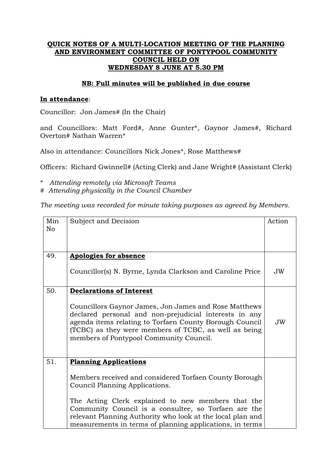## **QUICK NOTES OF A MULTI-LOCATION MEETING OF THE PLANNING AND ENVIRONMENT COMMITTEE OF PONTYPOOL COMMUNITY COUNCIL HELD ON WEDNESDAY 8 JUNE AT 5.30 PM**

### **NB: Full minutes will be published in due course**

#### **In attendance**:

Councillor: Jon James# (In the Chair)

and Councillors: Matt Ford#, Anne Gunter\*, Gaynor James#, Richard Overton# Nathan Warren\*

Also in attendance: Councillors Nick Jones\*, Rose Matthews#

Officers: Richard Gwinnell# (Acting Clerk) and Jane Wright# (Assistant Clerk)

\* *Attending remotely via Microsoft Teams*

# *Attending physically in the Council Chamber*

*The meeting was recorded for minute taking purposes as agreed by Members.*

| Min            | Subject and Decision                                                                                                                                                                                                                                                           |    |  |
|----------------|--------------------------------------------------------------------------------------------------------------------------------------------------------------------------------------------------------------------------------------------------------------------------------|----|--|
| N <sub>o</sub> |                                                                                                                                                                                                                                                                                |    |  |
|                |                                                                                                                                                                                                                                                                                |    |  |
| 49.            | <b>Apologies for absence</b>                                                                                                                                                                                                                                                   |    |  |
|                | Councillor(s) N. Byrne, Lynda Clarkson and Caroline Price                                                                                                                                                                                                                      | JW |  |
| 50.            | <b>Declarations of Interest</b>                                                                                                                                                                                                                                                |    |  |
|                | Councillors Gaynor James, Jon James and Rose Matthews<br>declared personal and non-prejudicial interests in any<br>agenda items relating to Torfaen County Borough Council<br>(TCBC) as they were members of TCBC, as well as being<br>members of Pontypool Community Council. | JW |  |
| 51.            | <b>Planning Applications</b>                                                                                                                                                                                                                                                   |    |  |
|                | Members received and considered Torfaen County Borough<br>Council Planning Applications.                                                                                                                                                                                       |    |  |
|                | The Acting Clerk explained to new members that the<br>Community Council is a consultee, so Torfaen are the<br>relevant Planning Authority who look at the local plan and<br>measurements in terms of planning applications, in terms                                           |    |  |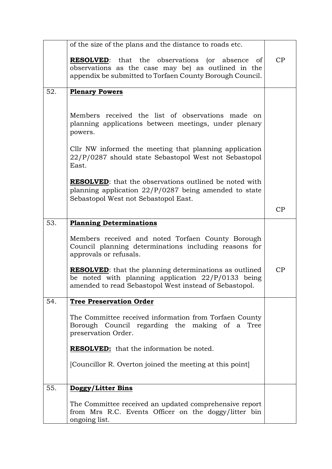|     | of the size of the plans and the distance to roads etc.                                                                                                                         |    |
|-----|---------------------------------------------------------------------------------------------------------------------------------------------------------------------------------|----|
|     | <b>RESOLVED:</b> that the observations (or absence<br>of<br>observations as the case may be) as outlined in the<br>appendix be submitted to Torfaen County Borough Council.     | CP |
| 52. | <b>Plenary Powers</b>                                                                                                                                                           |    |
|     | Members received the list of observations made on<br>planning applications between meetings, under plenary                                                                      |    |
|     | powers.                                                                                                                                                                         |    |
|     | Cllr NW informed the meeting that planning application<br>22/P/0287 should state Sebastopol West not Sebastopol<br>East.                                                        |    |
|     | <b>RESOLVED:</b> that the observations outlined be noted with<br>planning application $22/P/0287$ being amended to state<br>Sebastopol West not Sebastopol East.                |    |
|     |                                                                                                                                                                                 | CP |
| 53. | <b>Planning Determinations</b>                                                                                                                                                  |    |
|     | Members received and noted Torfaen County Borough<br>Council planning determinations including reasons for<br>approvals or refusals.                                            |    |
|     | <b>RESOLVED:</b> that the planning determinations as outlined<br>be noted with planning application $22/P/0133$ being<br>amended to read Sebastopol West instead of Sebastopol. | CP |
| 54. | <b>Tree Preservation Order</b>                                                                                                                                                  |    |
|     | The Committee received information from Torfaen County<br>Borough Council regarding the making of a Tree<br>preservation Order.                                                 |    |
|     | <b>RESOLVED:</b> that the information be noted.                                                                                                                                 |    |
|     | [Councillor R. Overton joined the meeting at this point]                                                                                                                        |    |
| 55. | Doggy/Litter Bins                                                                                                                                                               |    |
|     | The Committee received an updated comprehensive report<br>from Mrs R.C. Events Officer on the doggy/litter bin<br>ongoing list.                                                 |    |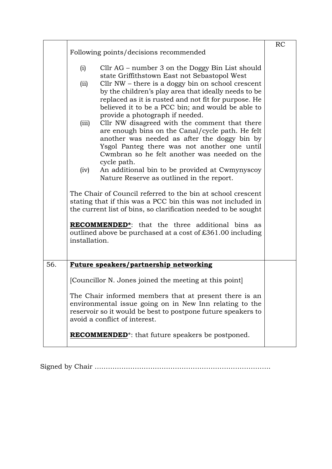|     | Following points/decisions recommended                                                                                                                                                                             |                                                                                                                                                                                                                                                                                                                                                                                                   |  |  |
|-----|--------------------------------------------------------------------------------------------------------------------------------------------------------------------------------------------------------------------|---------------------------------------------------------------------------------------------------------------------------------------------------------------------------------------------------------------------------------------------------------------------------------------------------------------------------------------------------------------------------------------------------|--|--|
|     | (i)<br>(ii)                                                                                                                                                                                                        | Cllr $AG$ – number 3 on the Doggy Bin List should<br>state Griffithstown East not Sebastopol West<br>Cllr $NW$ – there is a doggy bin on school crescent<br>by the children's play area that ideally needs to be                                                                                                                                                                                  |  |  |
|     | (iii)                                                                                                                                                                                                              | replaced as it is rusted and not fit for purpose. He<br>believed it to be a PCC bin; and would be able to<br>provide a photograph if needed.<br>Cllr NW disagreed with the comment that there<br>are enough bins on the Canal/cycle path. He felt<br>another was needed as after the doggy bin by<br>Ysgol Panteg there was not another one until<br>Cwmbran so he felt another was needed on the |  |  |
|     | (iv)                                                                                                                                                                                                               | cycle path.<br>An additional bin to be provided at Cwmynyscoy<br>Nature Reserve as outlined in the report.                                                                                                                                                                                                                                                                                        |  |  |
|     |                                                                                                                                                                                                                    | The Chair of Council referred to the bin at school crescent<br>stating that if this was a PCC bin this was not included in<br>the current list of bins, so clarification needed to be sought                                                                                                                                                                                                      |  |  |
|     | installation.                                                                                                                                                                                                      | <b>RECOMMENDED</b> <sup>*</sup> : that the three additional bins as<br>outlined above be purchased at a cost of £361.00 including                                                                                                                                                                                                                                                                 |  |  |
| 56. |                                                                                                                                                                                                                    | Future speakers/partnership networking                                                                                                                                                                                                                                                                                                                                                            |  |  |
|     | [Councillor N. Jones joined the meeting at this point]                                                                                                                                                             |                                                                                                                                                                                                                                                                                                                                                                                                   |  |  |
|     | The Chair informed members that at present there is an<br>environmental issue going on in New Inn relating to the<br>reservoir so it would be best to postpone future speakers to<br>avoid a conflict of interest. |                                                                                                                                                                                                                                                                                                                                                                                                   |  |  |
|     |                                                                                                                                                                                                                    | <b>RECOMMENDED</b> <sup>*</sup> : that future speakers be postponed.                                                                                                                                                                                                                                                                                                                              |  |  |

Signed by Chair …………………………………………………………………….